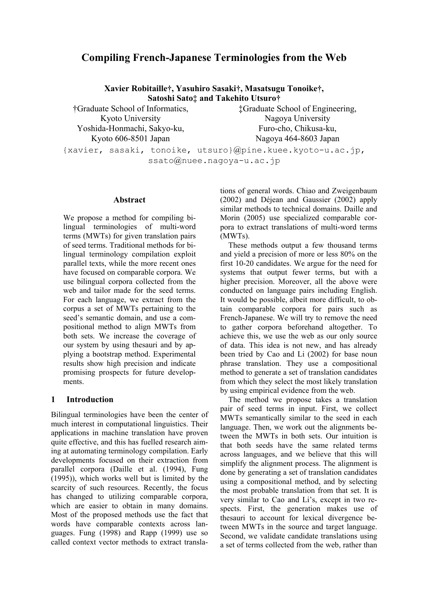# **Compiling French-Japanese Terminologies from the Web**

**Xavier Robitaille†, Yasuhiro Sasaki†, Masatsugu Tonoike†, Satoshi Sato‡ and Takehito Utsuro†** 

†Graduate School of Informatics, Kyoto University Yoshida-Honmachi, Sakyo-ku, Kyoto 606-8501 Japan

‡Graduate School of Engineering, Nagoya University Furo-cho, Chikusa-ku, Nagoya 464-8603 Japan

{xavier, sasaki, tonoike, utsuro}@pine.kuee.kyoto-u.ac.jp, ssato@nuee.nagoya-u.ac.jp

## **Abstract**

We propose a method for compiling bilingual terminologies of multi-word terms (MWTs) for given translation pairs of seed terms. Traditional methods for bilingual terminology compilation exploit parallel texts, while the more recent ones have focused on comparable corpora. We use bilingual corpora collected from the web and tailor made for the seed terms. For each language, we extract from the corpus a set of MWTs pertaining to the seed's semantic domain, and use a compositional method to align MWTs from both sets. We increase the coverage of our system by using thesauri and by applying a bootstrap method. Experimental results show high precision and indicate promising prospects for future developments.

## **1 Introduction**

Bilingual terminologies have been the center of much interest in computational linguistics. Their applications in machine translation have proven quite effective, and this has fuelled research aiming at automating terminology compilation. Early developments focused on their extraction from parallel corpora (Daille et al. (1994), Fung (1995)), which works well but is limited by the scarcity of such resources. Recently, the focus has changed to utilizing comparable corpora, which are easier to obtain in many domains. Most of the proposed methods use the fact that words have comparable contexts across languages. Fung (1998) and Rapp (1999) use so called context vector methods to extract translations of general words. Chiao and Zweigenbaum (2002) and Déjean and Gaussier (2002) apply similar methods to technical domains. Daille and Morin (2005) use specialized comparable corpora to extract translations of multi-word terms (MWTs).

These methods output a few thousand terms and yield a precision of more or less 80% on the first 10-20 candidates. We argue for the need for systems that output fewer terms, but with a higher precision. Moreover, all the above were conducted on language pairs including English. It would be possible, albeit more difficult, to obtain comparable corpora for pairs such as French-Japanese. We will try to remove the need to gather corpora beforehand altogether. To achieve this, we use the web as our only source of data. This idea is not new, and has already been tried by Cao and Li (2002) for base noun phrase translation. They use a compositional method to generate a set of translation candidates from which they select the most likely translation by using empirical evidence from the web.

The method we propose takes a translation pair of seed terms in input. First, we collect MWTs semantically similar to the seed in each language. Then, we work out the alignments between the MWTs in both sets. Our intuition is that both seeds have the same related terms across languages, and we believe that this will simplify the alignment process. The alignment is done by generating a set of translation candidates using a compositional method, and by selecting the most probable translation from that set. It is very similar to Cao and Li's, except in two respects. First, the generation makes use of thesauri to account for lexical divergence between MWTs in the source and target language. Second, we validate candidate translations using a set of terms collected from the web, rather than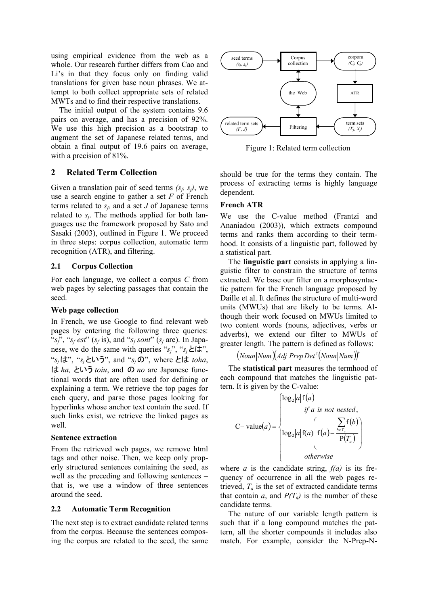using empirical evidence from the web as a whole. Our research further differs from Cao and Li's in that they focus only on finding valid translations for given base noun phrases. We attempt to both collect appropriate sets of related MWTs and to find their respective translations.

The initial output of the system contains 9.6 pairs on average, and has a precision of 92%. We use this high precision as a bootstrap to augment the set of Japanese related terms, and obtain a final output of 19.6 pairs on average, with a precision of 81%.

## **2 Related Term Collection**

Given a translation pair of seed terms  $(s_f, s_i)$ , we use a search engine to gather a set *F* of French terms related to  $s_f$ , and a set *J* of Japanese terms related to  $s_i$ . The methods applied for both languages use the framework proposed by Sato and Sasaki (2003), outlined in Figure 1. We proceed in three steps: corpus collection, automatic term recognition (ATR), and filtering.

## **2.1 Corpus Collection**

For each language, we collect a corpus *C* from web pages by selecting passages that contain the seed.

## **Web page collection**

In French, we use Google to find relevant web pages by entering the following three queries: " $s_f$ ", " $s_f$  *est*" ( $s_f$  is), and " $s_f$  *sont*" ( $s_f$  are). In Japanese, we do the same with queries " $s_i$ ", " $s_j \n\in \{ \pm \infty \}$ ", "*sj*は", "*sj*という", and "*sj*の", where とは *toha*, は *ha,* という *toiu*, and の *no* are Japanese functional words that are often used for defining or explaining a term. We retrieve the top pages for each query, and parse those pages looking for hyperlinks whose anchor text contain the seed. If such links exist, we retrieve the linked pages as well.

## **Sentence extraction**

From the retrieved web pages, we remove html tags and other noise. Then, we keep only properly structured sentences containing the seed, as well as the preceding and following sentences – that is, we use a window of three sentences around the seed.

## **2.2 Automatic Term Recognition**

The next step is to extract candidate related terms from the corpus. Because the sentences composing the corpus are related to the seed, the same



Figure 1: Related term collection

should be true for the terms they contain. The process of extracting terms is highly language dependent.

## **French ATR**

We use the C-value method (Frantzi and Ananiadou (2003)), which extracts compound terms and ranks them according to their termhood. It consists of a linguistic part, followed by a statistical part.

The **linguistic part** consists in applying a linguistic filter to constrain the structure of terms extracted. We base our filter on a morphosyntactic pattern for the French language proposed by Daille et al. It defines the structure of multi-word units (MWUs) that are likely to be terms. Although their work focused on MWUs limited to two content words (nouns, adjectives, verbs or adverbs), we extend our filter to MWUs of greater length. The pattern is defined as follows:

 $(Noun|Num)(Adj|PrepDet^2(Noun|Num))^{+}$ 

The **statistical part** measures the termhood of each compound that matches the linguistic pattern. It is given by the C-value:

$$
C-\text{value}(a) = \begin{cases} \log_2|a|f(a) \\ \text{if } a \text{ is not nested,} \\ \log_2|a|f(a) \left(f(a) - \frac{\sum_{b \in T_a} f(b)}{P(T_a)}\right) \\ \text{otherwise} \end{cases}
$$

where  $a$  is the candidate string,  $f(a)$  is its frequency of occurrence in all the web pages retrieved,  $T_a$  is the set of extracted candidate terms that contain *a*, and  $P(T_a)$  is the number of these candidate terms.

The nature of our variable length pattern is such that if a long compound matches the pattern, all the shorter compounds it includes also match. For example, consider the N-Prep-N-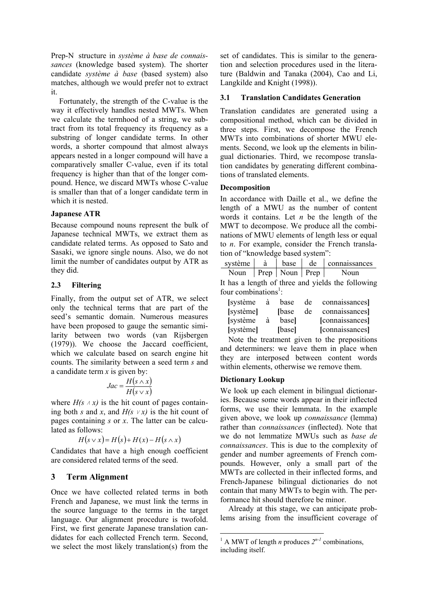Prep-N structure in *système à base de connaissances* (knowledge based system). The shorter candidate *système à base* (based system) also matches, although we would prefer not to extract it.

Fortunately, the strength of the C-value is the way it effectively handles nested MWTs. When we calculate the termhood of a string, we subtract from its total frequency its frequency as a substring of longer candidate terms. In other words, a shorter compound that almost always appears nested in a longer compound will have a comparatively smaller C-value, even if its total frequency is higher than that of the longer compound. Hence, we discard MWTs whose C-value is smaller than that of a longer candidate term in which it is nested.

## **Japanese ATR**

Because compound nouns represent the bulk of Japanese technical MWTs, we extract them as candidate related terms. As opposed to Sato and Sasaki, we ignore single nouns. Also, we do not limit the number of candidates output by ATR as they did.

## **2.3 Filtering**

Finally, from the output set of ATR, we select only the technical terms that are part of the seed's semantic domain. Numerous measures have been proposed to gauge the semantic similarity between two words (van Rijsbergen (1979)). We choose the Jaccard coefficient, which we calculate based on search engine hit counts. The similarity between a seed term *s* and a candidate term *x* is given by:

$$
Jac = \frac{H(s \wedge x)}{H(s \vee x)}
$$

where  $H(s \wedge x)$  is the hit count of pages containing both *s* and *x*, and  $H(s \vee x)$  is the hit count of pages containing *s* or *x*. The latter can be calculated as follows:

$$
H(s \vee x) = H(s) + H(x) - H(s \wedge x)
$$

Candidates that have a high enough coefficient are considered related terms of the seed.

## **3 Term Alignment**

Once we have collected related terms in both French and Japanese, we must link the terms in the source language to the terms in the target language. Our alignment procedure is twofold. First, we first generate Japanese translation candidates for each collected French term. Second, we select the most likely translation(s) from the

set of candidates. This is similar to the generation and selection procedures used in the literature (Baldwin and Tanaka (2004), Cao and Li, Langkilde and Knight (1998)).

#### **3.1 Translation Candidates Generation**

Translation candidates are generated using a compositional method, which can be divided in three steps. First, we decompose the French MWTs into combinations of shorter MWU elements. Second, we look up the elements in bilingual dictionaries. Third, we recompose translation candidates by generating different combinations of translated elements.

#### **Decomposition**

In accordance with Daille et al., we define the length of a MWU as the number of content words it contains. Let *n* be the length of the MWT to decompose. We produce all the combinations of MWU elements of length less or equal to *n*. For example, consider the French translation of "knowledge based system":

| système | base               | de | connaissances |
|---------|--------------------|----|---------------|
| Noun    | Prep   Noun   Prep |    | Noun          |

It has a length of three and yields the following four combinations<sup>1</sup>:

| [système] | à | base            | de | connaissances]  |
|-----------|---|-----------------|----|-----------------|
| [système] |   | <b>S</b> [base] | de | connaissances   |
| [système] | à | basel           |    | [connaissances] |
| [système] |   | [base]          |    | [connaissances] |

Note the treatment given to the prepositions and determiners: we leave them in place when they are interposed between content words within elements, otherwise we remove them.

#### **Dictionary Lookup**

We look up each element in bilingual dictionaries. Because some words appear in their inflected forms, we use their lemmata. In the example given above, we look up *connaissance* (lemma) rather than *connaissances* (inflected). Note that we do not lemmatize MWUs such as *base de connaissances*. This is due to the complexity of gender and number agreements of French compounds. However, only a small part of the MWTs are collected in their inflected forms, and French-Japanese bilingual dictionaries do not contain that many MWTs to begin with. The performance hit should therefore be minor.

Already at this stage, we can anticipate problems arising from the insufficient coverage of

<sup>&</sup>lt;sup>1</sup> A MWT of length *n* produces  $2^{n-1}$  combinations, including itself.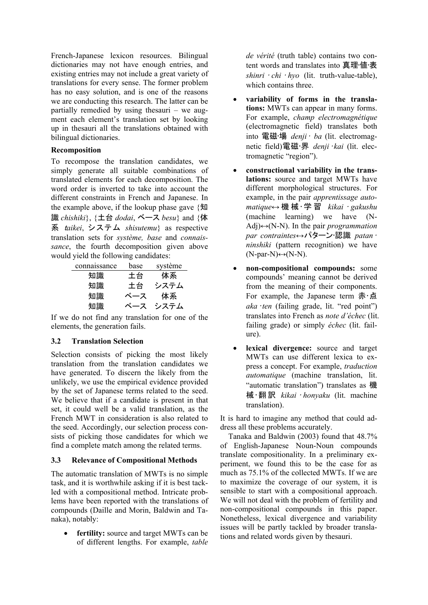French-Japanese lexicon resources. Bilingual dictionaries may not have enough entries, and existing entries may not include a great variety of translations for every sense. The former problem has no easy solution, and is one of the reasons we are conducting this research. The latter can be partially remedied by using thesauri – we augment each element's translation set by looking up in thesauri all the translations obtained with bilingual dictionaries.

# **Recomposition**

To recompose the translation candidates, we simply generate all suitable combinations of translated elements for each decomposition. The word order is inverted to take into account the different constraints in French and Japanese. In the example above, if the lookup phase gave {知 識 *chishiki*}, {土台 *dodai*, ベース *besu*} and {体 系 <sup>t</sup>*aikei*, システム *shisutemu*} as respective translation sets for *système, base* and *connaissance*, the fourth decomposition given above would yield the following candidates:

| connaissance | base | système |
|--------------|------|---------|
| 知識           | 土台   | 体系      |
| 知識           | 土台   | システム    |
| 知識           | ベース  | 体系      |
| 知識           | ベース  | システム    |

If we do not find any translation for one of the elements, the generation fails.

# **3.2 Translation Selection**

Selection consists of picking the most likely translation from the translation candidates we have generated. To discern the likely from the unlikely, we use the empirical evidence provided by the set of Japanese terms related to the seed. We believe that if a candidate is present in that set, it could well be a valid translation, as the French MWT in consideration is also related to the seed. Accordingly, our selection process consists of picking those candidates for which we find a complete match among the related terms.

## **3.3 Relevance of Compositional Methods**

The automatic translation of MWTs is no simple task, and it is worthwhile asking if it is best tackled with a compositional method. Intricate problems have been reported with the translations of compounds (Daille and Morin, Baldwin and Tanaka), notably:

• **fertility:** source and target MWTs can be of different lengths. For example, *table*  *de vérité* (truth table) contains two content words and translates into 真理•値•表 *shinri* • *chi* • *hyo* (lit. truth-value-table), which contains three.

- **variability of forms in the translations:** MWTs can appear in many forms. For example, *champ electromagnétique* (electromagnetic field) translates both into 電磁•場 *denji*• *ba* (lit. electromagnetic field)電磁•界 *denji*•*kai* (lit. electromagnetic "region").
- **constructional variability in the translations:** source and target MWTs have different morphological structures. For example, in the pair *apprentissage automatique*↔ 機械•学習 *kikai* • *gakushu*  (machine learning) we have (N-Adj)↔(N-N). In the pair *programmation par contraintes↔パター*ン•認識 *patan* • *ninshiki* (pattern recognition) we have  $(N\text{-}par-N) \leftrightarrow (N-N)$ .
- **non-compositional compounds:** some compounds' meaning cannot be derived from the meaning of their components. For example, the Japanese term 赤・点 *aka*•*ten* (failing grade, lit. "red point") translates into French as *note d'échec* (lit. failing grade) or simply *échec* (lit. failure).
- lexical divergence: source and target MWTs can use different lexica to express a concept. For example, *traduction automatique* (machine translation, lit. "automatic translation") translates as 機 械•翻訳 *kikai* • *honyaku* (lit. machine translation).

It is hard to imagine any method that could address all these problems accurately.

Tanaka and Baldwin (2003) found that 48.7% of English-Japanese Noun-Noun compounds translate compositionality. In a preliminary experiment, we found this to be the case for as much as 75.1% of the collected MWTs. If we are to maximize the coverage of our system, it is sensible to start with a compositional approach. We will not deal with the problem of fertility and non-compositional compounds in this paper. Nonetheless, lexical divergence and variability issues will be partly tackled by broader translations and related words given by thesauri.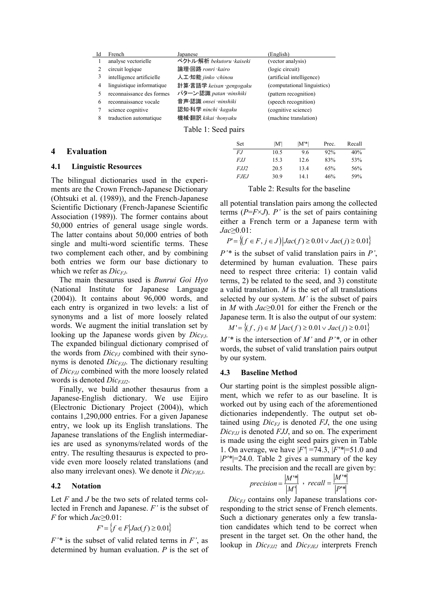| Id | French                    | Japanese                   | English)                    |
|----|---------------------------|----------------------------|-----------------------------|
|    | analyse vectorielle       | ベクトル・解析 bekutoru · kaiseki | (vector analysis)           |
|    | circuit logique           | 論理·回路 ronri · kairo        | (logic circuit)             |
| 3  | intelligence artificielle | 人工·知能 jinko ·chinou        | (artificial intelligence)   |
| 4  | linguistique informatique | 計算言語学 keisan gengogaku     | (computational linguistics) |
| 5  | reconnaissance des formes | パターン·認識 patan ·ninshiki    | (pattern recognition)       |
| 6  | reconnaissance vocale     | 音声·認識 onsei ·ninshiki      | (speech recognition)        |
| 7  | science cognitive         | 認知·科学 ninchi ·kagaku       | (cognitive science)         |
| 8  | traduction automatique    | 機械·翻訳 kikai · honyaku      | (machine translation)       |
|    |                           |                            |                             |

Table 1: Seed pairs

## **4 Evaluation**

#### **4.1 Linguistic Resources**

The bilingual dictionaries used in the experiments are the Crown French-Japanese Dictionary (Ohtsuki et al. (1989)), and the French-Japanese Scientific Dictionary (French-Japanese Scientific Association (1989)). The former contains about 50,000 entries of general usage single words. The latter contains about 50,000 entries of both single and multi-word scientific terms. These two complement each other, and by combining both entries we form our base dictionary to which we refer as *Dic<sub>FJ</sub>*.

The main thesaurus used is *Bunrui Goi Hyo* (National Institute for Japanese Language (2004)). It contains about 96,000 words, and each entry is organized in two levels: a list of synonyms and a list of more loosely related words. We augment the initial translation set by looking up the Japanese words given by *Dic<sub>FI</sub>*. The expanded bilingual dictionary comprised of the words from  $Dic_{FJ}$  combined with their synonyms is denoted  $Dic_{FJJ}$ . The dictionary resulting of *Dic<sub>FJJ</sub>* combined with the more loosely related words is denoted *Dic<sub>FJJ2</sub>*.

Finally, we build another thesaurus from a Japanese-English dictionary. We use Eijiro (Electronic Dictionary Project (2004)), which contains 1,290,000 entries. For a given Japanese entry, we look up its English translations. The Japanese translations of the English intermediaries are used as synonyms/related words of the entry. The resulting thesaurus is expected to provide even more loosely related translations (and also many irrelevant ones). We denote it *Dic<sub>FJEJ</sub>*.

## **4.2 Notation**

Let *F* and *J* be the two sets of related terms collected in French and Japanese. *F'* is the subset of *F* for which *Jac*≥0.01:

$$
F' = \{ f \in F | Jac(f) \ge 0.01 \}
$$

*F'\** is the subset of valid related terms in *F'*, as determined by human evaluation. *P* is the set of

| Set         | M'l  | $ M^* $ | Prec. | Recall |
|-------------|------|---------|-------|--------|
| FJ          | 10.5 | 9.6     | 92%   | 40%    |
| <i>FJJ</i>  | 15.3 | 12.6    | 83%   | 53%    |
| <i>FJJ2</i> | 20.5 | 13.4    | 65%   | 56%    |
| <i>FJEJ</i> | 30.9 | 14.1    | 46%   | 59%    |

Table 2: Results for the baseline

all potential translation pairs among the collected terms  $(P=$ *F* $\times$ *J* $)$ . *P*<sup> $\prime$ </sup> is the set of pairs containing either a French term or a Japanese term with *Jac*≥0.01:

*P*'= { $(f ∈ F, j ∈ J)$  $|Jac(f) ≥ 0.01 \vee Jac(j) ≥ 0.01$ }

*P'\** is the subset of valid translation pairs in *P'*, determined by human evaluation. These pairs need to respect three criteria: 1) contain valid terms, 2) be related to the seed, and 3) constitute a valid translation. *M* is the set of all translations selected by our system. *M'* is the subset of pairs in *M* with *Jac*≥0.01 for either the French or the Japanese term. It is also the output of our system:

$$
M' = \{(f, j) \in M \mid Jac(f) \ge 0.01 \lor Jac(j) \ge 0.01\}
$$

*M'\** is the intersection of *M'* and *P'\**, or in other words, the subset of valid translation pairs output by our system.

## **4.3 Baseline Method**

Our starting point is the simplest possible alignment, which we refer to as our baseline. It is worked out by using each of the aforementioned dictionaries independently. The output set obtained using  $Dic_{FI}$  is denoted *FJ*, the one using *DicFJJ* is denoted *FJJ*, and so on. The experiment is made using the eight seed pairs given in Table 1. On average, we have |*F'*| =74.3, |*F'\**|=51.0 and |*P'\**|=24.0. Table 2 gives a summary of the key results. The precision and the recall are given by:

$$
precision = \frac{|M^{\prime *}|}{|M|}, \quad recall = \frac{|M^{\prime *}|}{|P^{\prime *}|}
$$

 $Dic_{FI}$  contains only Japanese translations corresponding to the strict sense of French elements. Such a dictionary generates only a few translation candidates which tend to be correct when present in the target set. On the other hand, the lookup in *Dic<sub>FJJ2</sub>* and *Dic<sub>FJEJ</sub>* interprets French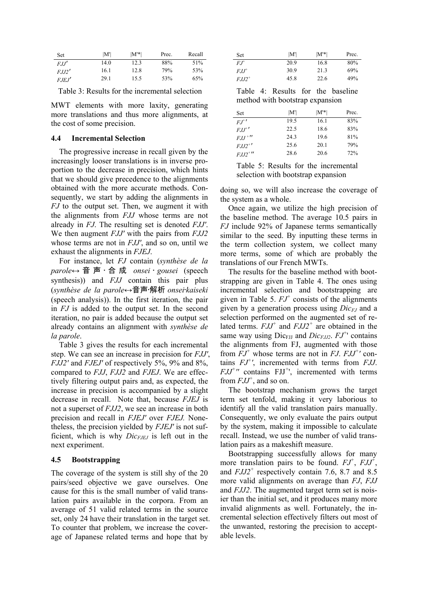| Set     | M'   | $ M^* $ | Prec. | Recall |
|---------|------|---------|-------|--------|
| F.I.I'  | 14.0 | 12.3    | 88%   | 51%    |
| F.I.I2' | 16.1 | 12.8    | 79%   | 53%    |
| F.F.I'  | 29.1 | 15.5    | 53%   | 65%    |

Table 3: Results for the incremental selection

MWT elements with more laxity, generating more translations and thus more alignments, at the cost of some precision.

#### **4.4 Incremental Selection**

The progressive increase in recall given by the increasingly looser translations is in inverse proportion to the decrease in precision, which hints that we should give precedence to the alignments obtained with the more accurate methods. Consequently, we start by adding the alignments in *FJ* to the output set. Then, we augment it with the alignments from *FJJ* whose terms are not already in *FJ*. The resulting set is denoted *FJJ'*. We then augment *FJJ'* with the pairs from *FJJ2* whose terms are not in *FJJ'*, and so on, until we exhaust the alignments in *FJEJ*.

For instance, let *FJ* contain (*synthèse de la parole*↔ 音声•合成 *onsei* • *gousei* (speech synthesis)) and *FJJ* contain this pair plus (*synthèse de la parole*↔音声•解析 *onsei*•*kaiseki* (speech analysis)). In the first iteration, the pair in *FJ* is added to the output set. In the second iteration, no pair is added because the output set already contains an alignment with *synthèse de la parole*.

Table 3 gives the results for each incremental step. We can see an increase in precision for *FJJ'*, *FJJ2'* and *FJEJ'* of respectively 5%, 9% and 8%, compared to *FJJ*, *FJJ2* and *FJEJ*. We are effectively filtering output pairs and, as expected, the increase in precision is accompanied by a slight decrease in recall. Note that, because *FJEJ* is not a superset of *FJJ2*, we see an increase in both precision and recall in *FJEJ'* over *FJEJ.* Nonetheless, the precision yielded by *FJEJ'* is not sufficient, which is why  $Dic_{F,IF}$  is left out in the next experiment.

## **4.5 Bootstrapping**

The coverage of the system is still shy of the 20 pairs/seed objective we gave ourselves. One cause for this is the small number of valid translation pairs available in the corpora. From an average of 51 valid related terms in the source set, only 24 have their translation in the target set. To counter that problem, we increase the coverage of Japanese related terms and hope that by

| Set                   | M'   | $ M^* $ | Prec. |
|-----------------------|------|---------|-------|
| $FJ^+$                | 20.9 | 16.8    | 80%   |
| $F.L^+$               | 30.9 | 213     | 69%   |
| $F.I.I2$ <sup>+</sup> | 45.8 | 22.6    | 49%   |

Table 4: Results for the baseline method with bootstrap expansion

| Set                  | M'I  | $ M^* $ | Prec. |
|----------------------|------|---------|-------|
| $EJ^+$               | 19.5 | 16.1    | 83%   |
| $FJJ^{\dagger}$      | 22.5 | 18.6    | 83%   |
| $FJJ$ <sup>+11</sup> | 24.3 | 19.6    | 81%   |
| $FJJ2^{+}$           | 25.6 | 20.1    | 79%   |
| $FJJ2^{+}$           | 28.6 | 20.6    | 72%   |

Table 5: Results for the incremental selection with bootstrap expansion

doing so, we will also increase the coverage of the system as a whole.

Once again, we utilize the high precision of the baseline method. The average 10.5 pairs in *FJ* include 92% of Japanese terms semantically similar to the seed. By inputting these terms in the term collection system, we collect many more terms, some of which are probably the translations of our French MWTs.

The results for the baseline method with bootstrapping are given in Table 4. The ones using incremental selection and bootstrapping are given in Table 5.  $FJ^+$  consists of the alignments given by a generation process using  $Dic_{FI}$  and a selection performed on the augmented set of related terms. *FJJ+* and *FJJ2<sup>+</sup>* are obtained in the same way using  $Dic_{FJJ}$  and  $Dic_{FJJ^2}$ .  $FJ^+$  contains the alignments from FJ, augmented with those from *FJ+* whose terms are not in *FJ*. *FJJ+ '* contains *FJ+ '*, incremented with terms from *FJJ*. *FJJ+ ''* contains FJJ*<sup>+</sup>* ', incremented with terms from  $FJJ^+$ , and so on.

The bootstrap mechanism grows the target term set tenfold, making it very laborious to identify all the valid translation pairs manually. Consequently, we only evaluate the pairs output by the system, making it impossible to calculate recall. Instead, we use the number of valid translation pairs as a makeshift measure.

Bootstrapping successfully allows for many more translation pairs to be found.  $FJ^+$ ,  $FJJ^+$ , and *FJJ2<sup>+</sup>* respectively contain 7.6, 8.7 and 8.5 more valid alignments on average than *FJ*, *FJJ* and *FJJ2*. The augmented target term set is noisier than the initial set, and it produces many more invalid alignments as well. Fortunately, the incremental selection effectively filters out most of the unwanted, restoring the precision to acceptable levels.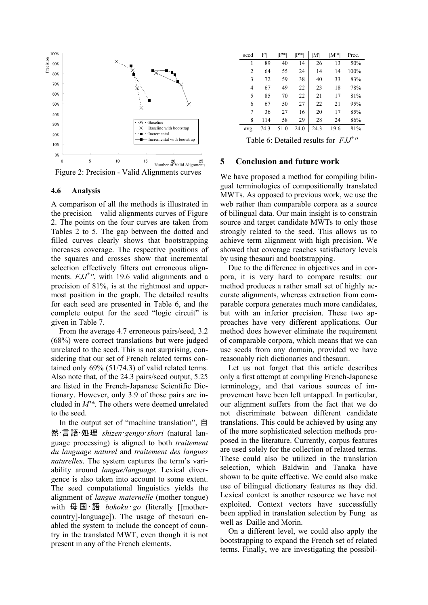

Figure 2: Precision - Valid Alignments curves

#### **4.6 Analysis**

A comparison of all the methods is illustrated in the precision – valid alignments curves of Figure 2. The points on the four curves are taken from Tables 2 to 5. The gap between the dotted and filled curves clearly shows that bootstrapping increases coverage. The respective positions of the squares and crosses show that incremental selection effectively filters out erroneous alignments. *FJJ+ ''*, with 19.6 valid alignments and a precision of 81%, is at the rightmost and uppermost position in the graph. The detailed results for each seed are presented in Table 6, and the complete output for the seed "logic circuit" is given in Table 7.

From the average 4.7 erroneous pairs/seed, 3.2 (68%) were correct translations but were judged unrelated to the seed. This is not surprising, considering that our set of French related terms contained only 69% (51/74.3) of valid related terms. Also note that, of the 24.3 pairs/seed output, 5.25 are listed in the French-Japanese Scientific Dictionary. However, only 3.9 of those pairs are included in *M'\**. The others were deemed unrelated to the seed.

In the output set of "machine translation", 自 然•言語•処理 *shizen*•*gengo*•*shori* (natural language processing) is aligned to both *traitement du language naturel* and *traitement des langues naturelles*. The system captures the term's variability around *langue/language*. Lexical divergence is also taken into account to some extent. The seed computational linguistics yields the alignment of *langue maternelle* (mother tongue) with 母国·語 *bokoku* · *go* (literally [[mothercountry]-language]). The usage of thesauri enabled the system to include the concept of country in the translated MWT, even though it is not present in any of the French elements.

| seed           | F'   | $ F^* $ | $ P^* $ | $\mathbf{M}^{\prime}$ | $ M^* $ | Prec. |
|----------------|------|---------|---------|-----------------------|---------|-------|
| 1              | 89   | 40      | 14      | 26                    | 13      | 50%   |
| $\overline{2}$ | 64   | 55      | 24      | 14                    | 14      | 100%  |
| 3              | 72   | 59      | 38      | 40                    | 33      | 83%   |
| $\overline{4}$ | 67   | 49      | 22      | 23                    | 18      | 78%   |
| 5              | 85   | 70      | 22      | 21                    | 17      | 81%   |
| 6              | 67   | 50      | 27      | 22                    | 21      | 95%   |
| $\overline{7}$ | 36   | 27      | 16      | 20                    | 17      | 85%   |
| 8              | 114  | 58      | 29      | 28                    | 24      | 86%   |
| avg            | 74.3 | 51.0    | 24.0    | 24.3                  | 19.6    | 81%   |

Table 6: Detailed results for *FJJ+ ''*

## **5 Conclusion and future work**

We have proposed a method for compiling bilingual terminologies of compositionally translated MWTs. As opposed to previous work, we use the web rather than comparable corpora as a source of bilingual data. Our main insight is to constrain source and target candidate MWTs to only those strongly related to the seed. This allows us to achieve term alignment with high precision. We showed that coverage reaches satisfactory levels by using thesauri and bootstrapping.

Due to the difference in objectives and in corpora, it is very hard to compare results: our method produces a rather small set of highly accurate alignments, whereas extraction from comparable corpora generates much more candidates, but with an inferior precision. These two approaches have very different applications. Our method does however eliminate the requirement of comparable corpora, which means that we can use seeds from any domain, provided we have reasonably rich dictionaries and thesauri.

Let us not forget that this article describes only a first attempt at compiling French-Japanese terminology, and that various sources of improvement have been left untapped. In particular, our alignment suffers from the fact that we do not discriminate between different candidate translations. This could be achieved by using any of the more sophisticated selection methods proposed in the literature. Currently, corpus features are used solely for the collection of related terms. These could also be utilized in the translation selection, which Baldwin and Tanaka have shown to be quite effective. We could also make use of bilingual dictionary features as they did. Lexical context is another resource we have not exploited. Context vectors have successfully been applied in translation selection by Fung as well as Daille and Morin.

On a different level, we could also apply the bootstrapping to expand the French set of related terms. Finally, we are investigating the possibil-